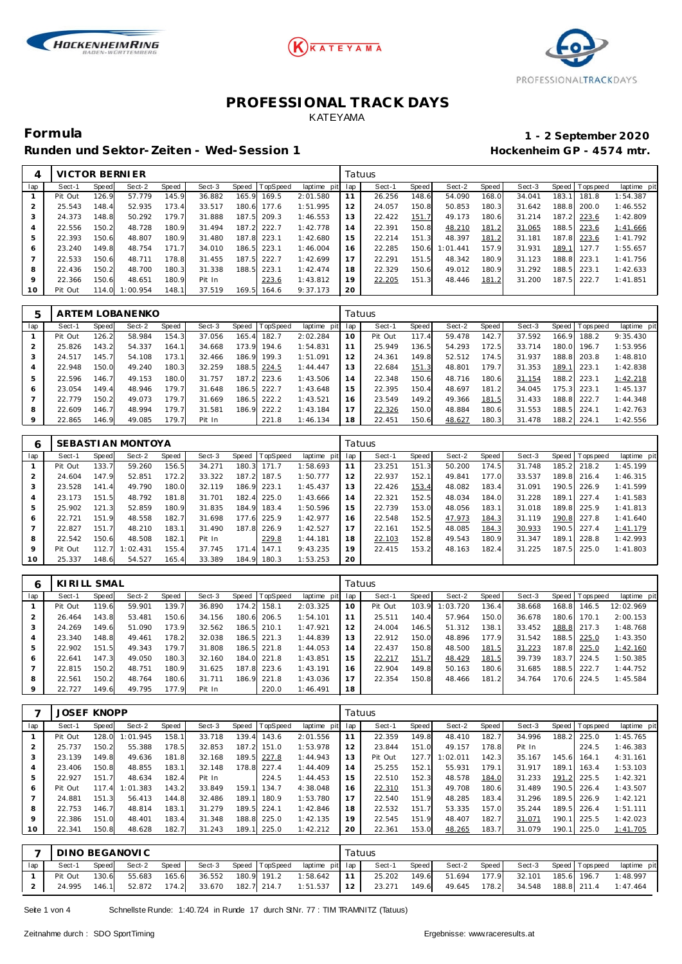





Runden und Sektor-Zeiten - Wed-Session 1 **Bei der Einer Einer Freiere** Hockenheim GP - 4574 mtr.

# **Formula 1 - 2 September 2020**

|                | VICTOR BERNIER |       |          |       |        |       |         |                |     | Tatuus |       |          |       |        |       |                 |             |
|----------------|----------------|-------|----------|-------|--------|-------|---------|----------------|-----|--------|-------|----------|-------|--------|-------|-----------------|-------------|
| lap            | Sect-1         | Speed | Sect-2   | Speed | Sect-3 | Speed | opSpeed | laptime<br>pit | lap | Sect-1 | Speed | Sect-2   | Speed | Sect-3 |       | Speed Tops peed | laptime pit |
|                | Pit Out        | 126.9 | 57.779   | 145.9 | 36.882 | 165.9 | 169.5   | 2:01.580       |     | 26.256 | 148.6 | 54.090   | 168.0 | 34.041 | 183.  | 181.8           | 1:54.387    |
| 2              | 25.543         | 148.4 | 52.935   | 173.4 | 33.517 | 180.6 | 177.6   | 1:51.995       | 12  | 24.057 | 150.8 | 50.853   | 180.3 | 31.642 | 188.8 | 200.0           | 1:46.552    |
| 3              | 24.373         | 148.8 | 50.292   | 179.7 | 31.888 | 187.5 | 209.3   | 1:46.553       | 13  | 22.422 | 151.7 | 49.173   | 180.6 | 31.214 | 187.2 | 223.6           | 1:42.809    |
| 4              | 22.556         | 150.2 | 48.728   | 180.9 | 31.494 | 187.2 | 222.7   | 1:42.778       | 14  | 22.391 | 150.8 | 48.210   | 181.2 | 31.065 | 188.5 | 223.6           | 1:41.666    |
| 5              | 22.393         | 150.6 | 48.807   | 180.9 | 31.480 | 187.8 | 223.1   | 1:42.680       | 15  | 22.214 | 151.3 | 48.397   | 181.2 | 31.181 | 187.8 | 223.6           | 1:41.792    |
| 6              | 23.240         | 149.8 | 48.754   | 171.7 | 34.010 | 186.5 | 223.1   | 1:46.004       | 16  | 22.285 | 150.6 | 1:01.441 | 157.9 | 31.931 | 189.1 | 127.7           | 1:55.657    |
| $\overline{7}$ | 22.533         | 150.6 | 48.711   | 178.8 | 31.455 | 187.5 | 222.7   | 1:42.699       | 17  | 22.291 | 151.5 | 48.342   | 180.9 | 31.123 | 188.8 | 223.1           | 1:41.756    |
| 8              | 22.436         | 150.2 | 48.700   | 180.3 | 31.338 | 188.5 | 223.1   | 1:42.474       | 18  | 22.329 | 150.6 | 49.012   | 180.9 | 31.292 | 188.5 | 223.1           | 1:42.633    |
| 9              | 22.366         | 150.6 | 48.651   | 180.9 | Pit In |       | 223.6   | 1:43.812       | 19  | 22.205 | 151.3 | 48.446   | 181.2 | 31.200 | 187.5 | 222.7           | 1:41.851    |
| 10             | Pit Out        | 114.0 | 1:00.954 | 148.1 | 37.519 | 169.5 | 164.6   | 9:37.173       | 20  |        |       |          |       |        |       |                 |             |

| 5   |         |       | ARTEM LOBANENKO |       |        |       |                  |                | Tatuus |         |       |        |       |        |       |                  |             |
|-----|---------|-------|-----------------|-------|--------|-------|------------------|----------------|--------|---------|-------|--------|-------|--------|-------|------------------|-------------|
| lap | Sect-1  | Speed | Sect-2          | Speed | Sect-3 |       | Speed   TopSpeed | laptime<br>pit | lap    | Sect-1  | Speed | Sect-2 | Speed | Sect-3 | Speed | <b>Tops peed</b> | laptime pit |
|     | Pit Out | 126.2 | 58.984          | 154.3 | 37.056 | 165.4 | 182.7            | 2:02.284       | 10     | Pit Out | 117.4 | 59.478 | 142.7 | 37.592 | 166.9 | 188.2            | 9:35.430    |
|     | 25.826  | 143.2 | 54.337          | 164.1 | 34.668 | 73.9  | 194.6            | 1:54.831       | 11     | 25.949  | 136.5 | 54.293 | 172.5 | 33.714 | 180.0 | 196.7            | 1:53.956    |
| 3   | 24.517  | 145.7 | 54.108          | 173.1 | 32.466 | 186.9 | 199.3            | 1:51.091       | 12     | 24.361  | 149.8 | 52.512 | 174.5 | 31.937 | 188.8 | 203.8            | 1:48.810    |
| 4   | 22.948  | 150.0 | 49.240          | 180.3 | 32.259 | 188.5 | 224.5            | 1:44.447       | 13     | 22.684  | 151.3 | 48.801 | 179.7 | 31.353 | 189.  | 223.1            | 1:42.838    |
| 5   | 22.596  | 146.7 | 49.153          | 180.0 | 31.757 | 187.2 | 223.6            | 1:43.506       | 14     | 22.348  | 150.6 | 48.716 | 180.6 | 31.154 | 188.2 | 223.1            | 1:42.218    |
| 6   | 23.054  | 149.4 | 48.946          | 179.7 | 31.648 | 186.5 | 222.7            | 1:43.648       | 15     | 22.395  | 150.4 | 48.697 | 181.2 | 34.045 | 175.3 | 223.1            | 1:45.137    |
|     | 22.779  | 150.2 | 49.073          | 179.7 | 31.669 | 186.5 | 222.2            | 1:43.521       | 16     | 23.549  | 149.2 | 49.366 | 181.5 | 31.433 | 188.8 | 222.7            | 1:44.348    |
| 8   | 22.609  | 146.7 | 48.994          | 179.7 | 31.581 | 186.9 | 222.2            | 1:43.184       | 17     | 22.326  | 150.0 | 48.884 | 180.6 | 31.553 | 188.5 | 224.1            | 1:42.763    |
| 9   | 22.865  | 146.9 | 49.085          | 179.7 | Pit In |       | 221.8            | 1:46.134       | 18     | 22.451  | 150.6 | 48.627 | 180.3 | 31.478 | 188.2 | 224.1            | 1:42.556    |

|         |         |       | SEBASTIAN MONTOYA |       |        |       |             |                | Tatuus |        |       |        |       |        |         |           |             |
|---------|---------|-------|-------------------|-------|--------|-------|-------------|----------------|--------|--------|-------|--------|-------|--------|---------|-----------|-------------|
| lap     | Sect-1  | Speed | Sect-2            | Speed | Sect-3 | Speed | TopSpeed    | laptime<br>pit | lap    | Sect-1 | Speed | Sect-2 | Speed | Sect-3 | Speed I | Tops peed | laptime pit |
|         | Pit Out | 133.7 | 59.260            | 156.5 | 34.271 | 180.3 | 171.7       | 1:58.693       | 11     | 23.251 | 151.3 | 50.200 | 174.5 | 31.748 | 185.2   | 218.2     | 1:45.199    |
|         | 24.604  | 147.9 | 52.851            | 172.2 | 33.322 | 187.2 | 187.5       | 1:50.777       | 12     | 22.937 | 152.1 | 49.841 | 177.0 | 33.537 | 189.8   | 216.4     | 1:46.315    |
| 3       | 23.528  | 141.4 | 49.790            | 180.C | 32.119 | 186.9 | 223.1       | 1:45.437       | 13     | 22.426 | 153.4 | 48.082 | 183.4 | 31.091 | 190.5   | 226.9     | 1:41.599    |
|         | 23.173  | 151.5 | 48.792            | 181.8 | 31.701 |       | 182.4 225.0 | 1:43.666       | 14     | 22.321 | 152.5 | 48.034 | 184.0 | 31.228 | 189.1   | 227.4     | 1:41.583    |
| 5       | 25.902  | 121.3 | 52.859            | 180.9 | 31.835 | 184.9 | 183.4       | 1:50.596       | 15     | 22.739 | 153.0 | 48.056 | 183.1 | 31.018 | 189.8   | 225.9     | 1:41.813    |
| 6       | 22.721  | 151.9 | 48.558            | 182.7 | 31.698 |       | 177.6 225.9 | 1:42.977       | 16     | 22.548 | 152.5 | 47.973 | 184.3 | 31.119 | 190.8   | 227.8     | 1:41.640    |
|         | 22.827  | 151.7 | 48.210            | 183.1 | 31.490 |       | 187.8 226.9 | 1:42.527       |        | 22.161 | 152.5 | 48.085 | 184.3 | 30.933 | 190.5   | 227.4     | 1:41.179    |
| 8       | 22.542  | 150.6 | 48.508            | 182.1 | Pit In |       | 229.8       | 1:44.181       | 18     | 22.103 | 152.8 | 49.543 | 180.9 | 31.347 | 189.1   | 228.8     | 1:42.993    |
| $\circ$ | Pit Out | 112.7 | 1:02.431          | 155.4 | 37.745 | 171   | 147.1       | 9:43.235       | 19     | 22.415 | 153.2 | 48.163 | 182.4 | 31.225 | 187.5   | 225.0     | 1:41.803    |
| 10      | 25.337  | 148.6 | 54.527            | 165.4 | 33.389 | 184.9 | 180.3       | 1:53.253       | 20     |        |       |        |       |        |         |           |             |

| 6   | KIRILL SMAL |              |        |       |        |       |                 |             |     | Tatuus  |       |          |       |        |       |                 |             |
|-----|-------------|--------------|--------|-------|--------|-------|-----------------|-------------|-----|---------|-------|----------|-------|--------|-------|-----------------|-------------|
| lap | Sect-1      | <b>Speed</b> | Sect-2 | Speed | Sect-3 | Speed | <b>TopSpeed</b> | laptime pit | lap | Sect-1  | Speed | Sect-2   | Speed | Sect-3 |       | Speed Tops peed | laptime pit |
|     | Pit Out     | 119.6        | 59.901 | 139.7 | 36.890 | 174.2 | 158.1           | 2:03.325    | 10  | Pit Out | 103.9 | 1:03.720 | 136.4 | 38.668 | 168.8 | 146.5           | 12:02.969   |
|     | 26.464      | 143.8        | 53.481 | 150.6 | 34.156 |       | 180.6 206.5     | 1:54.101    | 11  | 25.511  | 140.4 | 57.964   | 150.0 | 36.678 | 180.6 | 170.1           | 2:00.153    |
|     | 24.269      | 149.6        | 51.090 | 173.9 | 32.562 | 186.5 | 210.1           | 1:47.921    | 12  | 24.004  | 146.5 | 51.312   | 138.1 | 33.452 | 188.8 | 217.3           | 1:48.768    |
|     | 23.340      | 148.8        | 49.461 | 178.2 | 32.038 |       | 186.5 221.3     | 1:44.839    | 13  | 22.912  | 150.0 | 48.896   | 177.9 | 31.542 | 188.5 | 225.0           | 1:43.350    |
| 5   | 22.902      | 151.5        | 49.343 | 179.7 | 31.808 |       | 186.5 221.8     | 1:44.053    | 14  | 22.437  | 150.8 | 48.500   | 181.5 | 31.223 | 187.8 | 225.0           | 1:42.160    |
| 6   | 22.641      | 147.3        | 49.050 | 180.3 | 32.160 |       | 184.0 221.8     | 1:43.851    | 15  | 22.217  | 151.7 | 48.429   | 181.5 | 39.739 | 183.7 | 224.5           | 1:50.385    |
|     | 22.815      | 150.2        | 48.751 | 180.9 | 31.625 |       | 187.8 223.6     | 1:43.191    | 16  | 22.904  | 149.8 | 50.163   | 180.6 | 31.685 |       | 188.5 222.7     | 1:44.752    |
| 8   | 22.561      | 150.2        | 48.764 | 180.6 | 31.711 |       | 186.9 221.8     | 1:43.036    |     | 22.354  | 150.8 | 48.466   | 181.2 | 34.764 |       | 170.6 224.5     | 1:45.584    |
|     | 22.727      | 149.6        | 49.795 | 177.9 | Pit In |       | 220.0           | 1:46.491    | 18  |         |       |          |       |        |       |                 |             |

|                | JOSEF KNOPP |       |          |       |        |       |                 |             | Tatuus |         |       |          |       |        |       |                |             |
|----------------|-------------|-------|----------|-------|--------|-------|-----------------|-------------|--------|---------|-------|----------|-------|--------|-------|----------------|-------------|
| lap            | Sect-1      | Speed | Sect-2   | Speed | Sect-3 | Speed | <b>TopSpeed</b> | laptime pit | lap    | Sect-1  | Speed | Sect-2   | Speed | Sect-3 |       | Speed Topspeed | laptime pit |
|                | Pit Out     | 128.0 | : 01.945 | 158.1 | 33.718 | 139.4 | 143.6           | 2:01.556    | 11     | 22.359  | 149.8 | 48.410   | 182.7 | 34.996 | 188.2 | 225.0          | 1:45.765    |
| $\overline{2}$ | 25.737      | 150.2 | 55.388   | 178.5 | 32.853 | 187.2 | 151.0           | 1:53.978    | 12     | 23.844  | 151.0 | 49.157   | 178.8 | Pit In |       | 224.5          | 1:46.383    |
| 3              | 23.139      | 149.8 | 49.636   | 181.8 | 32.168 | 189.5 | 227.8           | 1:44.943    | 13     | Pit Out | 127.7 | 1:02.011 | 142.3 | 35.167 | 145.6 | 164.1          | 4:31.161    |
| 4              | 23.406      | 150.8 | 48.855   | 183.1 | 32.148 | 178.8 | 227.4           | 1:44.409    | 14     | 25.255  | 152.1 | 55.931   | 179.7 | 31.917 | 189.1 | 163.4          | 1:53.103    |
| 5              | 22.927      | 151.7 | 48.634   | 182.4 | Pit In |       | 224.5           | 1:44.453    | 15     | 22.510  | 152.3 | 48.578   | 184.0 | 31.233 | 191.2 | 225.5          | 1:42.321    |
| 6              | Pit Out     | 117.4 | : 01.383 | 143.2 | 33.849 | 159.1 | 134.7           | 4:38.048    | 16     | 22.310  | 151.3 | 49.708   | 180.6 | 31.489 | 190.5 | 226.4          | 1:43.507    |
|                | 24.881      | 151.3 | 56.413   | 144.8 | 32.486 | 189.1 | 180.9           | 1:53.780    | 17     | 22.540  | 151.9 | 48.285   | 183.4 | 31.296 | 189.5 | 226.9          | 1:42.121    |
| 8              | 22.753      | 146.7 | 48.814   | 183.1 | 31.279 | 189.5 | 224.1           | 1:42.846    | 18     | 22.532  | 151.7 | 53.335   | 157.0 | 35.244 | 189.5 | 226.4          | 1:51.111    |
| 9              | 22.386      | 151.0 | 48.401   | 183.4 | 31.348 | 188.8 | 225.0           | 1:42.135    | 19     | 22.545  | 151.9 | 48.407   | 182.7 | 31.071 | 190.1 | 225.5          | 1:42.023    |
| 10             | 22.341      | 150.8 | 48.628   | 182.7 | 31.243 | 189.1 | 225.0           | 1:42.212    | 20     | 22.361  | 153.0 | 48.265   | 183.7 | 31.079 | 190.1 | 225.0          | 1:41.705    |

|     |         |       | DINO BEGANOVIC |       |        |  |                                       | Tatuus                                                                        |       |              |                     |                       |             |
|-----|---------|-------|----------------|-------|--------|--|---------------------------------------|-------------------------------------------------------------------------------|-------|--------------|---------------------|-----------------------|-------------|
| lap | Sect-1  | Speed | Sect-2         | Speed |        |  | Sect-3 Speed TopSpeed laptime pit lap | Sect-1                                                                        | Speed | Sect-2 Speed |                     | Sect-3 Speed Topspeed | laptime pit |
|     | Pit Out | 130.6 | 55.683         | 165.6 | 36.552 |  | 180.9 191.2 1:58.642 11               | 25.202                                                                        | 149.6 |              | 51.694 177.9 32.101 | 185.6 196.7 1:48.997  |             |
|     | 24.995  |       | 146.1 52.872   | 174.2 | 33.670 |  |                                       | 182.7 214.7 1:51.537 12 23.271 149.6 49.645 178.2 34.548 188.8 211.4 1:47.464 |       |              |                     |                       |             |

Seite 1 von 4 Schnellste Runde: 1:40.724 in Runde 17 durch StNr. 77 : TIM TRAMNITZ (Tatuus)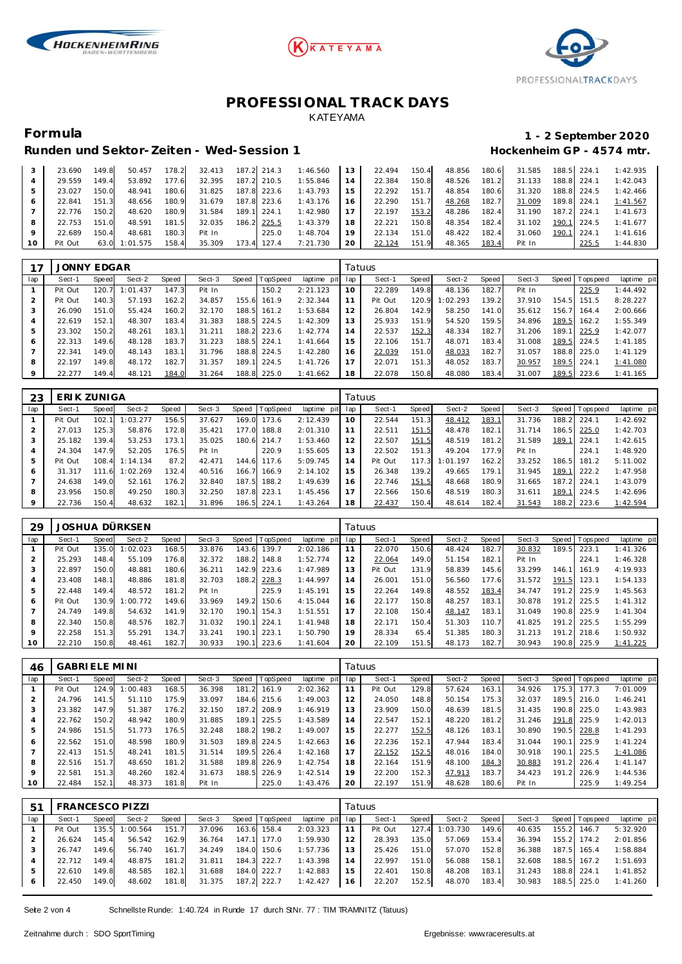





# **Formula 1 - 2 September 2020**

| Runden und Sektor-Zeiten - Wed-Session 1 | Hockenheim GP - 4574 mtr. |
|------------------------------------------|---------------------------|

|    | 23.690  | 149.8  | 50.457   | 178.2 | 32.413 |       | 187.2 214.3 | 1:46.560 | 1.3 | 22.494 | 150.4 | 48.856 | 180.6 | 31.585 | 188.5 224. |             | 1:42.935 |
|----|---------|--------|----------|-------|--------|-------|-------------|----------|-----|--------|-------|--------|-------|--------|------------|-------------|----------|
|    | 29.559  | 149.4  | 53.892   | 177.6 | 32.395 |       | 187.2 210.5 | 1:55.846 | l 4 | 22.384 | 150.8 | 48.526 | 181.2 | 31.133 | 188.8      | 224.7       | 1:42.043 |
|    | 23.027  | 150.0  | 48.941   | 180.6 | 31.825 |       | 187.8 223.6 | 1:43.793 | 15  | 22.292 | 151.7 | 48.854 | 180.6 | 31.320 |            | 188.8 224.5 | 1:42.466 |
| 6  | 22.841  | 151.3  | 48.656   | 180.9 | 31.679 |       | 187.8 223.6 | 1:43.176 | 16  | 22.290 | 151.7 | 48.268 | 182.7 | 31.009 | 189.8      | 224.        | 1:41.567 |
|    | 22.776  | 150.2  | 48.620   | 180.9 | 31.584 | 189.1 | 224.7       | 1:42.980 |     | 22.197 | 153.2 | 48.286 | 182.4 | 31.190 | 187.2      | 224.7       | 1:41.673 |
| 8  | 22.753  | 151.OI | 48.591   | 181.5 | 32.035 | 186.2 | 225.5       | 1:43.379 | 18  | 22.221 | 150.8 | 48.354 | 182.4 | 31.102 | 190.1      | 224.5       | 1:41.677 |
|    | 22.689  | 150.4  | 48.681   | 180.3 | Pit In |       | 225.0       | 1:48.704 | 19  | 22.134 | 151.0 | 48.422 | 182.4 | 31.060 | 190.1      | 224.7       | 1:41.616 |
| 10 | Pit Out | 63.0   | 1:01.575 | 158.4 | 35.309 | 73.4  | 127.4       | 7:21.730 | 20  | 22.124 | 151.9 | 48.365 | 183.4 | Pit In |            | 225.5       | 1:44.830 |

| 7       | <b>JONNY EDGAR</b> |              |          |       |        |       |                 |             |     | Tatuus  |       |          |       |        |       |                   |             |
|---------|--------------------|--------------|----------|-------|--------|-------|-----------------|-------------|-----|---------|-------|----------|-------|--------|-------|-------------------|-------------|
| lap     | Sect-1             | <b>Speed</b> | Sect-2   | Speed | Sect-3 | Speed | <b>TopSpeed</b> | laptime pit | lap | Sect-1  | Speed | Sect-2   | Speed | Sect-3 |       | Speed   Tops peed | laptime pit |
|         | Pit Out            | 120.         | 1:01.437 | 147.3 | Pit In |       | 150.2           | 2:21.123    | 10  | 22.289  | 149.8 | 48.136   | 182.7 | Pit In |       | 225.9             | 1:44.492    |
|         | Pit Out            | 140.3        | 57.193   | 162.2 | 34.857 | 155.6 | 161.9           | 2:32.344    | 11  | Pit Out | 120.9 | 1:02.293 | 139.2 | 37.910 | 154.5 | 151.5             | 8:28.227    |
| $\cdot$ | 26.090             | 151.0        | 55.424   | 160.2 | 32.170 | 188.5 | 161.2           | 1:53.684    | 12  | 26.804  | 142.9 | 58.250   | 141.0 | 35.612 | 156.7 | 164.4             | 2:00.666    |
| 4       | 22.619             | 152.1        | 48.307   | 183.4 | 31.383 | 188.5 | 224.5           | 1:42.309    | 13  | 25.933  | 151.9 | 54.520   | 159.5 | 34.896 | 189.5 | 162.2             | 1:55.349    |
|         | 23.302             | 150.2        | 48.261   | 183.1 | 31.211 | 188.2 | 223.6           | 1:42.774    | 14  | 22.537  | 152.3 | 48.334   | 182.7 | 31.206 | 189.1 | 225.9             | 1:42.077    |
| 6       | 22.313             | 149.6        | 48.128   | 183.7 | 31.223 | 188.5 | 224.1           | 1:41.664    | 15  | 22.106  | 151.7 | 48.071   | 183.4 | 31.008 | 189.5 | 224.5             | 1:41.185    |
|         | 22.341             | 149.0        | 48.143   | 183.1 | 31.796 | 188.8 | 224.5           | 1:42.280    | 16  | 22.039  | 151.0 | 48.033   | 182.7 | 31.057 | 188.8 | 225.0             | 1:41.129    |
| 8       | 22.197             | 149.8        | 48.172   | 182.7 | 31.357 | 189.1 | 224.5           | 1:41.726    | 17  | 22.071  | 151.3 | 48.052   | 183.7 | 30.957 | 189.5 | 224.1             | 1:41.080    |
|         | 22.277             | 149.4        | 48.121   | 184.0 | 31.264 | 188.8 | 225.0           | 1:41.662    | 18  | 22.078  | 150.8 | 48.080   | 183.4 | 31.007 | 189.5 | 223.6             | 1:41.165    |

| 23      | ERIK ZUNIGA |       |          |       |        |       |                |             |     | Tatuus  |       |          |       |        |       |                   |             |
|---------|-------------|-------|----------|-------|--------|-------|----------------|-------------|-----|---------|-------|----------|-------|--------|-------|-------------------|-------------|
| lap     | Sect-1      | Speed | Sect-2   | Speed | Sect-3 |       | Speed TopSpeed | laptime pit | lap | Sect-1  | Speed | Sect-2   | Speed | Sect-3 |       | Speed   Tops peed | laptime pit |
|         | Pit Out     | 102.1 | 1:03.277 | 156.5 | 37.627 | 169.0 | 173.6          | 2:12.439    | 10  | 22.544  | 151.3 | 48.412   | 183.1 | 31.736 | 188.2 | 224.1             | 1:42.692    |
|         | 27.013      | 125.3 | 58.876   | 172.8 | 35.421 | 177.0 | 188.8          | 2:01.310    | 11  | 22.511  | 151.5 | 48.478   | 182.1 | 31.714 | 186.5 | 225.0             | 1:42.703    |
|         | 25.182      | 139.4 | 53.253   | 173.1 | 35.025 |       | 180.6 214.7    | 1:53.460    | 12  | 22.507  | 151.5 | 48.519   | 181.2 | 31.589 | 189.  | 224.1             | 1:42.615    |
| 4       | 24.304      | 147.9 | 52.205   | 176.5 | Pit In |       | 220.9          | 1:55.605    | 13  | 22.502  | 151.3 | 49.204   | 177.9 | Pit In |       | 224.1             | 1:48.920    |
| 5       | Pit Out     | 108.4 | 1:14.134 | 87.2  | 42.471 | 144.6 | 117.6          | 5:09.745    | 14  | Pit Out | 117.3 | 1:01.197 | 162.2 | 33.252 | 186.5 | 181.2             | 5:11.002    |
| 6       | 31.317      | 111.6 | 1:02.269 | 132.4 | 40.516 |       | 166.7 166.9    | 2:14.102    | 15  | 26.348  | 139.2 | 49.665   | 179.1 | 31.945 | 189.1 | 222.2             | 1:47.958    |
|         | 24.638      | 149.0 | 52.161   | 176.2 | 32.840 | 187.5 | 188.2          | 1:49.639    | 16  | 22.746  | 151.5 | 48.668   | 180.9 | 31.665 | 187.  | 224.1             | 1:43.079    |
| 8       | 23.956      | 150.8 | 49.250   | 180.3 | 32.250 | 187.8 | 223.1          | 1:45.456    | 17  | 22.566  | 150.6 | 48.519   | 180.3 | 31.611 | 189.  | 224.5             | 1:42.696    |
| $\circ$ | 22.736      | 150.4 | 48.632   | 182.1 | 31.896 |       | 186.5 224.1    | 1:43.264    | 18  | 22.437  | 150.4 | 48.614   | 182.4 | 31.543 | 188.2 | 223.6             | 1:42.594    |

| 29  |         |       | JOSHUA DÜRKSEN |       |        |       |          |             |     | Tatuus  |       |        |       |        |       |                 |             |
|-----|---------|-------|----------------|-------|--------|-------|----------|-------------|-----|---------|-------|--------|-------|--------|-------|-----------------|-------------|
| lap | Sect-1  | Speed | Sect-2         | Speed | Sect-3 | Speed | TopSpeed | laptime pit | lap | Sect-1  | Speed | Sect-2 | Speed | Sect-3 |       | Speed Tops peed | laptime pit |
|     | Pit Out | 135.0 | 1:02.023       | 168.5 | 33.876 | 143.6 | 139.7    | 2:02.186    |     | 22.070  | 150.6 | 48.424 | 182.7 | 30.832 | 189.5 | 223.7           | 1: 41.326   |
|     | 25.293  | 148.4 | 55.109         | 176.8 | 32.372 | 188.2 | 148.8    | 1:52.774    | 12  | 22.064  | 149.0 | 51.154 | 182.1 | Pit In |       | 224.7           | 1:46.328    |
| 3   | 22.897  | 150.0 | 48.881         | 180.6 | 36.211 | 142.9 | 223.6    | 1:47.989    | 13  | Pit Out | 131.9 | 58.839 | 145.6 | 33.299 | 146.1 | 161.9           | 4:19.933    |
| 4   | 23.408  | 148.1 | 48.886         | 181.8 | 32.703 | 188.2 | 228.3    | 1:44.997    | 14  | 26.001  | 151.0 | 56.560 | 177.6 | 31.572 | 191.5 | 123.1           | 1:54.133    |
| 5   | 22.448  | 149.4 | 48.572         | 181.2 | Pit In |       | 225.9    | 1:45.191    | 15  | 22.264  | 149.8 | 48.552 | 183.4 | 34.747 | 191.2 | 225.9           | 1:45.563    |
| 6   | Pit Out | 130.9 | 1:00.772       | 149.6 | 33.969 | 149.2 | 150.6    | 4:15.044    | 16  | 22.177  | 150.8 | 48.257 | 183.1 | 30.878 | 191.2 | 225.5           | 1: 41.312   |
|     | 24.749  | 149.8 | 54.632         | 141.9 | 32.170 | 190.1 | 154.3    | 1:51.551    | 17  | 22.108  | 150.4 | 48.147 | 183.1 | 31.049 | 190.8 | 225.9           | 1: 41.304   |
| 8   | 22.340  | 150.8 | 48.576         | 182.7 | 31.032 | 190.  | 224.1    | 1:41.948    | 18  | 22.171  | 150.4 | 51.303 | 110.7 | 41.825 | 191.2 | 225.5           | 1:55.299    |
| 9   | 22.258  | 151.3 | 55.291         | 134.7 | 33.241 | 190.  | 223.1    | 1:50.790    | 19  | 28.334  | 65.4  | 51.385 | 180.3 | 31.213 | 191.2 | 218.6           | 1:50.932    |
| 10  | 22.210  | 150.8 | 48.461         | 182.7 | 30.933 | 190.1 | 223.6    | 1:41.604    | 20  | 22.109  | 151.5 | 48.173 | 182.7 | 30.943 | 190.8 | 225.9           | 1:41.225    |

| 46             | <b>GABRIELE MINI</b> |       |          |       |        |           |                |             | Tatuus |         |       |        |       |        |       |                 |             |
|----------------|----------------------|-------|----------|-------|--------|-----------|----------------|-------------|--------|---------|-------|--------|-------|--------|-------|-----------------|-------------|
| lap            | Sect-1               | Speed | Sect-2   | Speed | Sect-3 |           | Speed TopSpeed | laptime pit | lap    | Sect-1  | Speed | Sect-2 | Speed | Sect-3 |       | Speed Tops peed | laptime pit |
|                | Pit Out              | 124.9 | 1:00.483 | 168.5 | 36.398 | 181.<br>2 | 161.9          | 2:02.362    | 11     | Pit Out | 129.8 | 57.624 | 163.1 | 34.926 | 175.3 | 177.3           | 7:01.009    |
| 2              | 24.796               | 141.5 | 51.110   | 175.9 | 33.097 |           | 184.6 215.6    | 1:49.003    | 12     | 24.050  | 148.8 | 50.154 | 175.3 | 32.037 | 189.5 | 216.0           | 1:46.241    |
| 3              | 23.382               | 147.9 | 51.387   | 176.2 | 32.150 | 187.2     | 208.9          | 1:46.919    | 13     | 23.909  | 150.0 | 48.639 | 181.5 | 31.435 | 190.8 | 225.0           | 1:43.983    |
| $\overline{4}$ | 22.762               | 150.2 | 48.942   | 180.9 | 31.885 | 189.1     | 225.5          | 1:43.589    | 14     | 22.547  | 152.1 | 48.220 | 181.2 | 31.246 | 191.8 | 225.9           | 1:42.013    |
| 5              | 24.986               | 151.5 | 51.773   | 176.5 | 32.248 | 188.2     | 198.2          | 1:49.007    | 15     | 22.277  | 152.5 | 48.126 | 183.1 | 30.890 | 190.5 | 228.8           | 1:41.293    |
| 6              | 22.562               | 151.0 | 48.598   | 180.9 | 31.503 | 189.8     | 224.5          | 1:42.663    | 16     | 22.236  | 152.1 | 47.944 | 183.4 | 31.044 | 190.1 | 225.9           | 1:41.224    |
| $\overline{7}$ | 22.413               | 151.5 | 48.241   | 181.5 | 31.514 | 189.5     | 226.4          | 1:42.168    | 17     | 22.152  | 152.5 | 48.016 | 184.0 | 30.918 | 190.1 | 225.5           | 1:41.086    |
| 8              | 22.516               | 151.7 | 48.650   | 181.2 | 31.588 | 189.8     | 226.9          | 1:42.754    | 18     | 22.164  | 151.9 | 48.100 | 184.3 | 30.883 | 191.2 | 226.4           | 1: 41.147   |
| 9              | 22.581               | 151.3 | 48.260   | 182.4 | 31.673 | 188.5     | 226.9          | 1:42.514    | 19     | 22.200  | 152.3 | 47.913 | 183.7 | 34.423 | 191.2 | 226.9           | 1:44.536    |
| 10             | 22.484               | 152.1 | 48.373   | 181.8 | Pit In |           | 225.0          | 1:43.476    | 20     | 22.197  | 151.9 | 48.628 | 180.6 | Pit In |       | 225.9           | 1:49.254    |

| 5 <sup>1</sup> |         |       | <b>FRANCESCO PIZZI</b> |       |        |       |                |                 |    | Tatuus  |       |          |       |        |                 |             |
|----------------|---------|-------|------------------------|-------|--------|-------|----------------|-----------------|----|---------|-------|----------|-------|--------|-----------------|-------------|
| lap            | Sect-1  | Speed | Sect-2                 | Speed | Sect-3 |       | Speed TopSpeed | laptime pit lap |    | Sect-1  | Speed | Sect-2   | Speed | Sect-3 | Speed Tops peed | laptime pit |
|                | Pit Out | 135.5 | 1:00.564               | 151.7 | 37.096 | 163.6 | 158.4          | 2:03.323        |    | Pit Out | 127.4 | 1:03.730 | 149.6 | 40.635 | 155.2 146.7     | 5:32.920    |
|                | 26.624  | 145.4 | 56.542                 | 162.9 | 36.764 | 147.1 | 177.0          | 1:59.930        |    | 28.393  | 135.0 | 57.069   | 153.4 | 36.394 | 155.2 174.2     | 2:01.856    |
|                | 26.747  | 149.6 | 56.740                 | 161.7 | 34.249 |       | 184.0 150.6    | 1:57.736        | 3  | 25.426  | 151.0 | 57.070   | 152.8 | 36.388 | 187.5 165.4     | 1:58.884    |
|                | 22.712  | 149.4 | 48.875                 | 181.2 | 31.811 |       | 184.3 222.7    | 1:43.398        | 14 | 22.997  | 151.0 | 56.088   | 158.1 | 32.608 | 188.5 167.2     | 1:51.693    |
|                | 22.610  | 149.8 | 48.585                 | 182.1 | 31.688 |       | 184.0 222.7    | 1:42.883        | 15 | 22.401  | 150.8 | 48.208   | 183.1 | 31.243 | 188.8 224.1     | 1:41.852    |
|                | 22.450  | 149.0 | 48.602                 | 181.8 | 31.375 |       | 187.2 222.7    | 1:42.427        | 16 | 22.207  | 152.5 | 48.070   | 183.4 | 30.983 | 188.5 225.0     | 1:41.260    |

Seite 2 von 4 Schnellste Runde: 1:40.724 in Runde 17 durch StNr. 77 : TIM TRAMNITZ (Tatuus)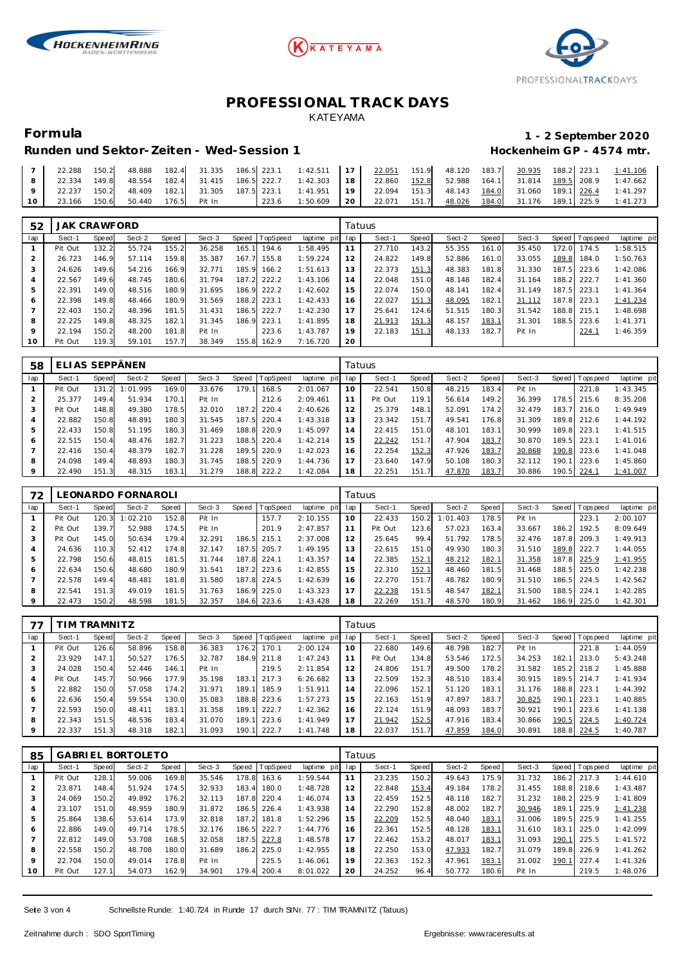





# **Formula 1 - 2 September 2020**

### Runden und Sektor-Zeiten - Wed-Session 1 **Bei der Einer Einer Freiere** Hockenheim GP - 4574 mtr.

|    | 22.288 | 150.2 |  |                                  |  | 48.888 182.4 31.335 186.5 223.1 1:42.511 17 22.051 151.9 48.120 183.7 30.935 188.2 223.1 1:41.106              |  |  |  |  |  |
|----|--------|-------|--|----------------------------------|--|----------------------------------------------------------------------------------------------------------------|--|--|--|--|--|
|    |        |       |  |                                  |  | 22.334 149.8 48.554 182.4 31.415 186.5 222.7 1:42.303 18 22.860 152.8 52.988 164.1 31.814 189.5 208.9 1:47.662 |  |  |  |  |  |
|    | 22.237 |       |  |                                  |  | 150.2 48.409 182.1 31.305 187.5 223.1 1:41.951 19 22.094 151.3 48.143 <u>184.0</u> 31.060 189.1 226.4 1:41.297 |  |  |  |  |  |
| 10 |        |       |  | 23.166 150.6 50.440 176.5 Pit In |  | 223.6 1:50.609   20   22.071 151.7   $\frac{48.026}{184.0}$   31.176 189.1   225.9 1:41.273                    |  |  |  |  |  |

| 52  | <b>JAK CRAWFORD</b> |       |        |       |        |       |                |             | Tatuus |        |       |        |       |        |       |          |             |
|-----|---------------------|-------|--------|-------|--------|-------|----------------|-------------|--------|--------|-------|--------|-------|--------|-------|----------|-------------|
| lap | Sect-1              | Speed | Sect-2 | Speed | Sect-3 |       | Speed TopSpeed | laptime pit | lap    | Sect-1 | Speed | Sect-2 | Speed | Sect-3 | Speed | Topspeed | laptime pit |
|     | Pit Out             | 132.2 | 55.724 | 155.2 | 36.258 | 165.1 | 194.6          | 1:58.495    | 11     | 27.710 | 143.2 | 55.355 | 161.0 | 35.450 | 172.0 | 174.5    | 1:58.515    |
|     | 26.723              | 146.9 | 57.114 | 159.8 | 35.387 | 167.7 | 155.8          | 1:59.224    | 12     | 24.822 | 149.8 | 52.886 | 161.0 | 33.055 | 189.8 | 184.0    | 1:50.763    |
| 3   | 24.626              | 149.6 | 54.216 | 166.9 | 32.771 | 185.9 | 166.2          | 1:51.613    | 13     | 22.373 | 151.3 | 48.383 | 181.8 | 31.330 | 187.5 | 223.6    | 1:42.086    |
| 4   | 22.567              | 149.6 | 48.745 | 180.6 | 31.794 | 187.2 | 222.2          | 1:43.106    | 14     | 22.048 | 151.0 | 48.148 | 182.4 | 31.164 | 188.2 | 222.7    | 1:41.360    |
| 5   | 22.391              | 149.0 | 48.516 | 180.9 | 31.695 | 186.9 | 222.2          | 1:42.602    | 15     | 22.074 | 150.0 | 48.141 | 182.4 | 31.149 | 187.5 | 223.1    | 1: 41.364   |
| 6   | 22.398              | 149.8 | 48.466 | 180.9 | 31.569 | 188.2 | 223.1          | 1:42.433    | 16     | 22.027 | 151.3 | 48.095 | 182.1 | 31.112 | 187.8 | 223.1    | 1:41.234    |
|     | 22.403              | 150.2 | 48.396 | 181.5 | 31.431 | 186.5 | 222.7          | 1:42.230    | 17     | 25.641 | 124.6 | 51.515 | 180.3 | 31.542 | 188.8 | 215.1    | 1:48.698    |
| 8   | 22.225              | 149.8 | 48.325 | 182.1 | 31.345 | 186.9 | 223.1          | 1:41.895    | 18     | 21.913 | 151.3 | 48.157 | 183.1 | 31.301 | 188.5 | 223.6    | 1: 41.371   |
| 9   | 22.194              | 150.2 | 48.200 | 181.8 | Pit In |       | 223.6          | 1:43.787    | 19     | 22.183 | 151.3 | 48.133 | 182.7 | Pit In |       | 224.1    | 1:46.359    |
| 10  | Pit Out             | 119.3 | 59.101 | 157.7 | 38.349 | 155.8 | 162.9          | 7:16.720    | 20     |        |       |        |       |        |       |          |             |

| 58  | ΕI      |            | I AS SEPPÄNEN |              |        |       |          |                |     | Tatuus  |       |        |       |        |       |            |             |
|-----|---------|------------|---------------|--------------|--------|-------|----------|----------------|-----|---------|-------|--------|-------|--------|-------|------------|-------------|
| lap | Sect-1  | Speed      | Sect-2        | <b>Speed</b> | Sect-3 | Speed | TopSpeed | laptime<br>pit | lap | Sect-1  | Speed | Sect-2 | Speed | Sect-3 | Speed | Tops pee d | laptime pit |
|     | Pit Out | 131.<br>21 | 1:01<br>.995  | 169.0        | 33.676 | 179.  | 168.5    | 2:01.067       | 10  | 22.541  | 150.8 | 48.215 | 183.4 | Pit In |       | 221.8      | 1:43.345    |
|     | 25.377  | 149.4      | 51.934        | 170.1        | Pit In |       | 212.6    | 2:09.461       |     | Pit Out | 119.1 | 56.614 | 149.2 | 36.399 | 178.5 | 215.6      | 8:35.208    |
| 3   | Pit Out | 148.8      | 49.380        | 178.5        | 32.010 | 187.2 | 220.4    | 2:40.626       |     | 25.379  | 148.1 | 52.091 | 174.2 | 32.479 | 183.7 | 216.0      | 1:49.949    |
| 4   | 22.882  | 150.8      | 48.891        | 180.3        | 31.545 | 187.5 | 220.4    | 1:43.318       | 13  | 23.342  | 151.7 | 49.541 | 176.8 | 31.309 | 189.8 | 212.6      | 1:44.192    |
| 5   | 22.433  | 150.8      | 51.195        | 180.3        | 31.469 | 188.8 | 220.9    | 1:45.097       | 14  | 22.415  | 151.0 | 48.101 | 183.1 | 30.999 | 189.8 | 223.1      | 1:41.515    |
| 6   | 22.515  | 150.4      | 48.476        | 182.7        | 31.223 | 188.5 | 220.4    | 1:42.214       | 15  | 22.242  | 151.7 | 47.904 | 183.7 | 30.870 | 189.5 | 223.7      | 1:41.016    |
|     | 22.416  | 150.4      | 48.379        | 182.7        | 31.228 | 189.5 | 220.9    | 1:42.023       | 16  | 22.254  | 152.3 | 47.926 | 183.7 | 30.868 | 190.8 | 223.6      | 1:41.048    |
| 8   | 24.098  | 149.4      | 48.893        | 180.3        | 31.745 | 188.5 | 220.9    | 1:44.736       |     | 23.640  | 147.9 | 50.108 | 180.3 | 32.112 | 190.  | 223.6      | 1:45.860    |
| 9   | 22.490  | 151.3      | 48.315        | 183.1        | 31.279 | 188.8 | 222.2    | 1:42.084       | 18  | 22.251  | 151.7 | 47.870 | 183.7 | 30.886 | 190.5 | 224.1      | 1:41.007    |

| 72      |         |       | EONARDO FORNAROLI |       |        |       |          |                 |    | Tatuus  |       |          |         |        |                 |             |
|---------|---------|-------|-------------------|-------|--------|-------|----------|-----------------|----|---------|-------|----------|---------|--------|-----------------|-------------|
| lap     | Sect-1  | Speed | Sect-2            | Speed | Sect-3 | Speed | TopSpeed | laptime pit lap |    | Sect-1  | Speed | Sect-2   | Speed ! | Sect-3 | Speed Tops peed | laptime pit |
|         | Pit Out | 120.3 | 1:02.210          | 152.8 | Pit In |       | 157.7    | 2:10.155        | 10 | 22.433  | 150.2 | 1:01.403 | 178.5   | Pit In | 223.1           | 2:00.107    |
|         | Pit Out | 139.7 | 52.988            | 174.5 | Pit In |       | 201.9    | 2:47.857        | 11 | Pit Out | 123.6 | 57.023   | 163.4   | 33.667 | 186.2 192.5     | 8:09.649    |
|         | Pit Out | 145.0 | 50.634            | 179.4 | 32.291 | 186.5 | 215.1    | 2:37.008        | 12 | 25.645  | 99.4  | 51.792   | 178.5   | 32.476 | 187.8 209.3     | 1:49.913    |
|         | 24.636  | 110.3 | 52.412            | 174.8 | 32.147 | 187.5 | 205.7    | 1:49.195        | 13 | 22.615  | 151.0 | 49.930   | 180.3   | 31.510 | 189.8 222.7     | 1:44.055    |
| 5       | 22.798  | 150.6 | 48.815            | 181.5 | 31.744 | 187.8 | 224.1    | 1:43.357        | 14 | 22.385  | 152.1 | 48.212   | 182.1   | 31.358 | 187.8 225.9     | 1:41.955    |
| 6       | 22.634  | 150.6 | 48.680            | 180.9 | 31.541 | 187.2 | 223.6    | 1:42.855        | 15 | 22.310  | 152.1 | 48.460   | 181.5   | 31.468 | 188.5 225.0     | 1:42.238    |
|         | 22.578  | 149.4 | 48.481            | 181.8 | 31.580 | 187.8 | 224.5    | 1:42.639        | 16 | 22.270  | 151.7 | 48.782   | 180.9   | 31.510 | 186.5 224.5     | 1:42.562    |
| 8       | 22.541  | 151.3 | 49.019            | 181.5 | 31.763 | 186.9 | 225.0    | 1:43.323        | 17 | 22.238  | 151.5 | 48.547   | 182.1   | 31.500 | 188.5 224.1     | 1:42.285    |
| $\circ$ | 22.473  | 150.2 | 48.598            | 181.5 | 32.357 | 184.6 | 223.6    | 1:43.428        | 18 | 22.269  | 151.7 | 48.570   | 180.9   | 31.462 | 186.9 225.0     | 1:42.301    |

| 77  |         | IM TRAMNITZ |        |       |        |       |                |                |     | Tatuus  |       |        |       |        |       |                   |             |
|-----|---------|-------------|--------|-------|--------|-------|----------------|----------------|-----|---------|-------|--------|-------|--------|-------|-------------------|-------------|
| lap | Sect-1  | Speed       | Sect-2 | Speed | Sect-3 |       | Speed TopSpeed | laptime<br>pit | lap | Sect-1  | Speed | Sect-2 | Speed | Sect-3 |       | Speed   Tops peed | laptime pit |
|     | Pit Out | 126.6       | 58.896 | 158.8 | 36.383 | 176.2 | 170.           | 2:00.124       | 10  | 22.680  | 149.6 | 48.798 | 182.7 | Pit In |       | 221.8             | 1:44.059    |
|     | 23.929  | 147.1       | 50.527 | 176.5 | 32.787 |       | 184.9 211.8    | 1:47.243       |     | Pit Out | 134.8 | 53.546 | 172.5 | 34.253 | 182.  | 1213.0            | 5:43.248    |
|     | 24.028  | 150.4       | 52.446 | 146.1 | Pit In |       | 219.5          | 2:11.854       | 12  | 24.806  | 151.7 | 49.500 | 178.2 | 31.582 |       | 185.2 218.2       | 1:45.888    |
| 4   | Pit Out | 145.7       | 50.966 | 177.9 | 35.198 | 183.1 | 217.3          | 6:26.682       | 13  | 22.509  | 152.3 | 48.510 | 183.4 | 30.915 |       | 189.5 214.7       | 1:41.934    |
| 5   | 22.882  | 150.0       | 57.058 | 174.2 | 31.971 | 189.1 | 185.9          | 1:51.911       | 14  | 22.096  | 152.1 | 51.120 | 183.1 | 31.176 | 188.8 | 223.1             | 1:44.392    |
| 6   | 22.636  | 150.4       | 59.554 | 130.0 | 35.083 |       | 188.8 223.6    | 1:57.273       | 15  | 22.163  | 151.9 | 47.897 | 183.7 | 30.825 | 190.1 | 223.1             | 1:40.885    |
|     | 22.593  | 150.0       | 48.411 | 183.1 | 31.358 | 189.1 | 222.7          | 1:42.362       | 16  | 22.124  | 151.9 | 48.093 | 183.7 | 30.921 | 190.1 | 223.6             | 1:41.138    |
| 8   | 22.343  | 151.5       | 48.536 | 183.4 | 31.070 | 189.1 | 223.6          | 1:41.949       |     | 21.942  | 152.5 | 47.916 | 183.4 | 30.866 | 190.5 | 224.5             | 1:40.724    |
| 9   | 22.337  | 151.3       | 48.318 | 182.1 | 31.093 | 190.1 | 222.7          | 1:41.748       | 18  | 22.037  | 151.7 | 47.859 | 184.0 | 30.891 | 188.8 | 224.5             | 1:40.787    |

| 85  |         |       | <b>GABRIEL BORTOLETO</b> |       |        |       |          |             | Tatuus |        |       |        |       |        |       |           |             |
|-----|---------|-------|--------------------------|-------|--------|-------|----------|-------------|--------|--------|-------|--------|-------|--------|-------|-----------|-------------|
| lap | Sect-1  | Speed | Sect-2                   | Speed | Sect-3 | Speed | TopSpeed | laptime pit | lap    | Sect-1 | Speed | Sect-2 | Speed | Sect-3 | Speed | Tops peed | laptime pit |
|     | Pit Out | 128.1 | 59.006                   | 169.8 | 35.546 | 178.8 | 163.6    | 1:59.544    | 11     | 23.235 | 150.2 | 49.643 | 175.9 | 31.732 | 186.2 | 217.3     | 1:44.610    |
|     | 23.871  | 148.4 | 51.924                   | 174.5 | 32.933 | 183.4 | 180.0    | 1:48.728    | 12     | 22.848 | 153.4 | 49.184 | 178.2 | 31.455 | 188.8 | 218.6     | 1:43.487    |
| 3   | 24.069  | 150.2 | 49.892                   | 176.2 | 32.113 | 187.8 | 220.4    | 1:46.074    | 13     | 22.459 | 152.5 | 48.118 | 182.7 | 31.232 | 188.2 | 225.9     | 1:41.809    |
| 4   | 23.107  | 151.0 | 48.959                   | 180.9 | 31.872 | 186.5 | 226.4    | 1:43.938    | 14     | 22.290 | 152.8 | 48.002 | 182.7 | 30.946 | 189.1 | 225.9     | 1:41.238    |
| 5   | 25.864  | 138.6 | 53.614                   | 173.9 | 32.818 | 187.2 | 181.8    | 1:52.296    | 15     | 22.209 | 152.5 | 48.040 | 183.7 | 31.006 | 189.5 | 225.9     | 1:41.255    |
| 6   | 22.886  | 149.0 | 49.714                   | 178.5 | 32.176 | 186.5 | 222.7    | 1:44.776    | 16     | 22.361 | 152.5 | 48.128 | 183.7 | 31.610 | 183.  | 225.0     | 1:42.099    |
|     | 22.812  | 149.0 | 53.708                   | 168.5 | 32.058 | 187.5 | 227.8    | 1:48.578    | 17     | 22.462 | 153.2 | 48.017 | 183.1 | 31.093 | 190.1 | 225.5     | 1:41.572    |
| 8   | 22.558  | 150.2 | 48.708                   | 180.0 | 31.689 | 186.2 | 225.0    | 1:42.955    | 18     | 22.250 | 153.0 | 47.933 | 182.7 | 31.079 | 189.8 | 226.9     | 1:41.262    |
| 9   | 22.704  | 150.0 | 49.014                   | 178.8 | Pit In |       | 225.5    | 1:46.061    | 19     | 22.363 | 152.3 | 47.961 | 183.1 | 31.002 | 190.1 | 227.4     | 1:41.326    |
| 10  | Pit Out | 127.1 | 54.073                   | 162.9 | 34.901 | 179.4 | 200.4    | 8:01.022    | 20     | 24.252 | 96.4  | 50.772 | 180.6 | Pit In |       | 219.5     | 1:48.076    |

Seite 3 von 4 Schnellste Runde: 1:40.724 in Runde 17 durch StNr. 77 : TIM TRAMNITZ (Tatuus)